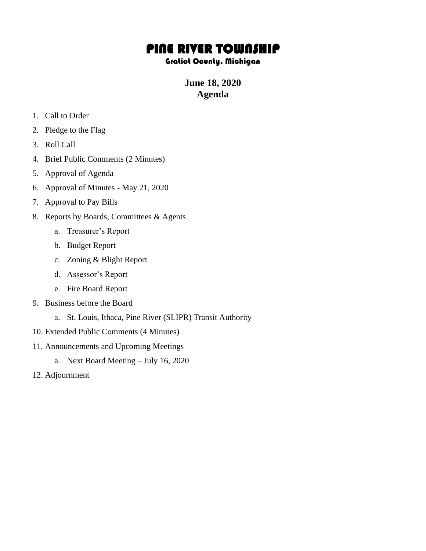## PINE RIVER TOWNSHIP

## Gratiot County, Michigan

## **June 18, 2020 Agenda**

- 1. Call to Order
- 2. Pledge to the Flag
- 3. Roll Call
- 4. Brief Public Comments (2 Minutes)
- 5. Approval of Agenda
- 6. Approval of Minutes May 21, 2020
- 7. Approval to Pay Bills
- 8. Reports by Boards, Committees & Agents
	- a. Treasurer's Report
	- b. Budget Report
	- c. Zoning & Blight Report
	- d. Assessor's Report
	- e. Fire Board Report
- 9. Business before the Board
	- a. St. Louis, Ithaca, Pine River (SLIPR) Transit Authority
- 10. Extended Public Comments (4 Minutes)
- 11. Announcements and Upcoming Meetings
	- a. Next Board Meeting July 16, 2020
- 12. Adjournment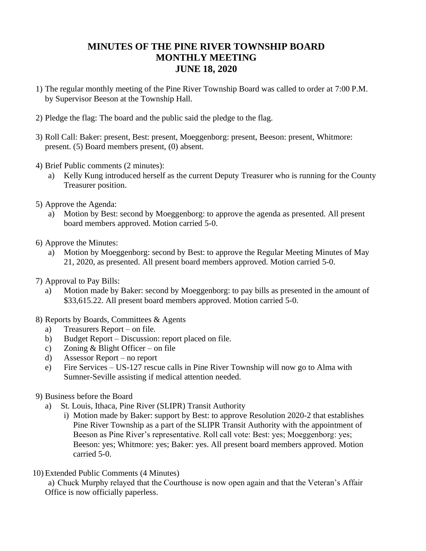## **MINUTES OF THE PINE RIVER TOWNSHIP BOARD MONTHLY MEETING JUNE 18, 2020**

- 1) The regular monthly meeting of the Pine River Township Board was called to order at 7:00 P.M. by Supervisor Beeson at the Township Hall.
- 2) Pledge the flag: The board and the public said the pledge to the flag.
- 3) Roll Call: Baker: present, Best: present, Moeggenborg: present, Beeson: present, Whitmore: present. (5) Board members present, (0) absent.
- 4) Brief Public comments (2 minutes):
	- a) Kelly Kung introduced herself as the current Deputy Treasurer who is running for the County Treasurer position.
- 5) Approve the Agenda:
	- a) Motion by Best: second by Moeggenborg: to approve the agenda as presented. All present board members approved. Motion carried 5-0.
- 6) Approve the Minutes:
	- a) Motion by Moeggenborg: second by Best: to approve the Regular Meeting Minutes of May 21, 2020, as presented. All present board members approved. Motion carried 5-0.
- 7) Approval to Pay Bills:
	- a) Motion made by Baker: second by Moeggenborg: to pay bills as presented in the amount of \$33,615.22. All present board members approved. Motion carried 5-0.
- 8) Reports by Boards, Committees & Agents
	- a) Treasurers Report on file.
	- b) Budget Report Discussion: report placed on file.
	- c) Zoning & Blight Officer on file
	- d) Assessor Report no report
	- e) Fire Services US-127 rescue calls in Pine River Township will now go to Alma with Sumner-Seville assisting if medical attention needed.
- 9) Business before the Board
	- a) St. Louis, Ithaca, Pine River (SLIPR) Transit Authority
		- i) Motion made by Baker: support by Best: to approve Resolution 2020-2 that establishes Pine River Township as a part of the SLIPR Transit Authority with the appointment of Beeson as Pine River's representative. Roll call vote: Best: yes; Moeggenborg: yes; Beeson: yes; Whitmore: yes; Baker: yes. All present board members approved. Motion carried 5-0.
- 10) Extended Public Comments (4 Minutes)

a) Chuck Murphy relayed that the Courthouse is now open again and that the Veteran's Affair Office is now officially paperless.